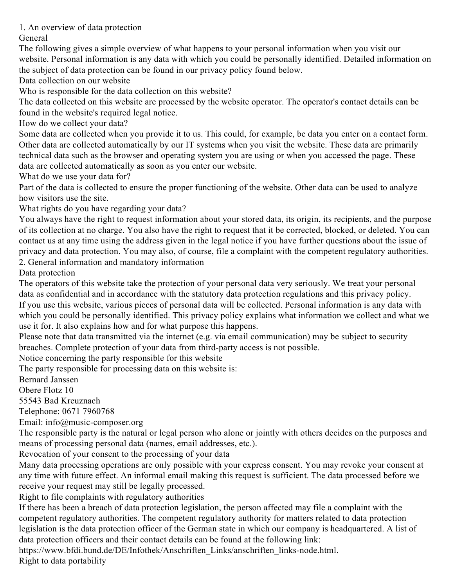1. An overview of data protection

General

The following gives a simple overview of what happens to your personal information when you visit our website. Personal information is any data with which you could be personally identified. Detailed information on the subject of data protection can be found in our privacy policy found below.

Data collection on our website

Who is responsible for the data collection on this website?

The data collected on this website are processed by the website operator. The operator's contact details can be found in the website's required legal notice.

How do we collect your data?

Some data are collected when you provide it to us. This could, for example, be data you enter on a contact form. Other data are collected automatically by our IT systems when you visit the website. These data are primarily technical data such as the browser and operating system you are using or when you accessed the page. These data are collected automatically as soon as you enter our website.

What do we use your data for?

Part of the data is collected to ensure the proper functioning of the website. Other data can be used to analyze how visitors use the site.

What rights do you have regarding your data?

You always have the right to request information about your stored data, its origin, its recipients, and the purpose of its collection at no charge. You also have the right to request that it be corrected, blocked, or deleted. You can contact us at any time using the address given in the legal notice if you have further questions about the issue of privacy and data protection. You may also, of course, file a complaint with the competent regulatory authorities.

2. General information and mandatory information

Data protection

The operators of this website take the protection of your personal data very seriously. We treat your personal data as confidential and in accordance with the statutory data protection regulations and this privacy policy. If you use this website, various pieces of personal data will be collected. Personal information is any data with which you could be personally identified. This privacy policy explains what information we collect and what we use it for. It also explains how and for what purpose this happens.

Please note that data transmitted via the internet (e.g. via email communication) may be subject to security breaches. Complete protection of your data from third-party access is not possible.

Notice concerning the party responsible for this website

The party responsible for processing data on this website is:

Bernard Janssen

Obere Flotz 10

55543 Bad Kreuznach

Telephone: 0671 7960768

Email: info@music-composer.org

The responsible party is the natural or legal person who alone or jointly with others decides on the purposes and means of processing personal data (names, email addresses, etc.).

Revocation of your consent to the processing of your data

Many data processing operations are only possible with your express consent. You may revoke your consent at any time with future effect. An informal email making this request is sufficient. The data processed before we receive your request may still be legally processed.

Right to file complaints with regulatory authorities

If there has been a breach of data protection legislation, the person affected may file a complaint with the competent regulatory authorities. The competent regulatory authority for matters related to data protection legislation is the data protection officer of the German state in which our company is headquartered. A list of data protection officers and their contact details can be found at the following link:

https://www.bfdi.bund.de/DE/Infothek/Anschriften\_Links/anschriften\_links-node.html. Right to data portability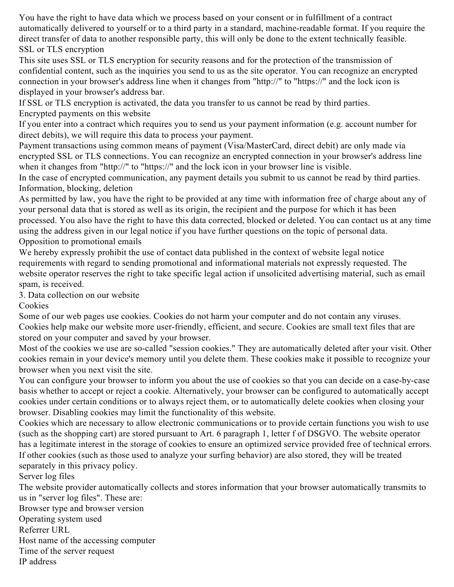You have the right to have data which we process based on your consent or in fulfillment of a contract automatically delivered to yourself or to a third party in a standard, machine-readable format. If you require the direct transfer of data to another responsible party, this will only be done to the extent technically feasible. SSL or TLS encryption

This site uses SSL or TLS encryption for security reasons and for the protection of the transmission of confidential content, such as the inquiries you send to us as the site operator. You can recognize an encrypted connection in your browser's address line when it changes from "http://" to "https://" and the lock icon is displayed in your browser's address bar.

If SSL or TLS encryption is activated, the data you transfer to us cannot be read by third parties. Encrypted payments on this website

If you enter into a contract which requires you to send us your payment information (e.g. account number for direct debits), we will require this data to process your payment.

Payment transactions using common means of payment (Visa/MasterCard, direct debit) are only made via encrypted SSL or TLS connections. You can recognize an encrypted connection in your browser's address line when it changes from "http://" to "https://" and the lock icon in your browser line is visible.

In the case of encrypted communication, any payment details you submit to us cannot be read by third parties. Information, blocking, deletion

As permitted by law, you have the right to be provided at any time with information free of charge about any of your personal data that is stored as well as its origin, the recipient and the purpose for which it has been processed. You also have the right to have this data corrected, blocked or deleted. You can contact us at any time using the address given in our legal notice if you have further questions on the topic of personal data. Opposition to promotional emails

We hereby expressly prohibit the use of contact data published in the context of website legal notice requirements with regard to sending promotional and informational materials not expressly requested. The website operator reserves the right to take specific legal action if unsolicited advertising material, such as email spam, is received.

3. Data collection on our website

Cookies

Some of our web pages use cookies. Cookies do not harm your computer and do not contain any viruses. Cookies help make our website more user-friendly, efficient, and secure. Cookies are small text files that are stored on your computer and saved by your browser.

Most of the cookies we use are so-called "session cookies." They are automatically deleted after your visit. Other cookies remain in your device's memory until you delete them. These cookies make it possible to recognize your browser when you next visit the site.

You can configure your browser to inform you about the use of cookies so that you can decide on a case-by-case basis whether to accept or reject a cookie. Alternatively, your browser can be configured to automatically accept cookies under certain conditions or to always reject them, or to automatically delete cookies when closing your browser. Disabling cookies may limit the functionality of this website.

Cookies which are necessary to allow electronic communications or to provide certain functions you wish to use (such as the shopping cart) are stored pursuant to Art. 6 paragraph 1, letter f of DSGVO. The website operator has a legitimate interest in the storage of cookies to ensure an optimized service provided free of technical errors. If other cookies (such as those used to analyze your surfing behavior) are also stored, they will be treated separately in this privacy policy.

Server log files

The website provider automatically collects and stores information that your browser automatically transmits to us in "server log files". These are:

Browser type and browser version

Operating system used

Referrer URL

Host name of the accessing computer

Time of the server request

IP address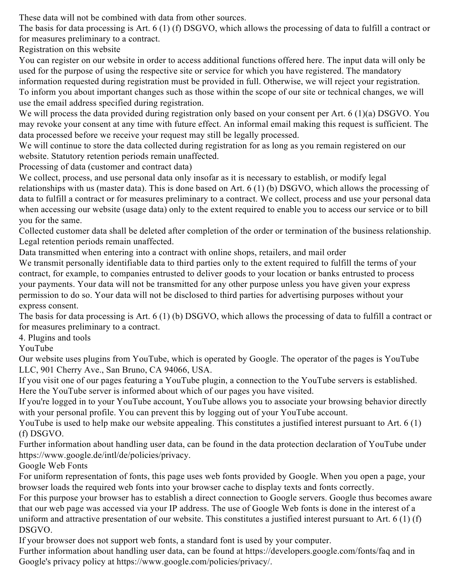These data will not be combined with data from other sources.

The basis for data processing is Art. 6 (1) (f) DSGVO, which allows the processing of data to fulfill a contract or for measures preliminary to a contract.

Registration on this website

You can register on our website in order to access additional functions offered here. The input data will only be used for the purpose of using the respective site or service for which you have registered. The mandatory information requested during registration must be provided in full. Otherwise, we will reject your registration. To inform you about important changes such as those within the scope of our site or technical changes, we will use the email address specified during registration.

We will process the data provided during registration only based on your consent per Art. 6 (1)(a) DSGVO. You may revoke your consent at any time with future effect. An informal email making this request is sufficient. The data processed before we receive your request may still be legally processed.

We will continue to store the data collected during registration for as long as you remain registered on our website. Statutory retention periods remain unaffected.

Processing of data (customer and contract data)

We collect, process, and use personal data only insofar as it is necessary to establish, or modify legal relationships with us (master data). This is done based on Art. 6 (1) (b) DSGVO, which allows the processing of data to fulfill a contract or for measures preliminary to a contract. We collect, process and use your personal data when accessing our website (usage data) only to the extent required to enable you to access our service or to bill

you for the same.

Collected customer data shall be deleted after completion of the order or termination of the business relationship. Legal retention periods remain unaffected.

Data transmitted when entering into a contract with online shops, retailers, and mail order

We transmit personally identifiable data to third parties only to the extent required to fulfill the terms of your contract, for example, to companies entrusted to deliver goods to your location or banks entrusted to process your payments. Your data will not be transmitted for any other purpose unless you have given your express permission to do so. Your data will not be disclosed to third parties for advertising purposes without your express consent.

The basis for data processing is Art. 6 (1) (b) DSGVO, which allows the processing of data to fulfill a contract or for measures preliminary to a contract.

4. Plugins and tools

YouTube

Our website uses plugins from YouTube, which is operated by Google. The operator of the pages is YouTube LLC, 901 Cherry Ave., San Bruno, CA 94066, USA.

If you visit one of our pages featuring a YouTube plugin, a connection to the YouTube servers is established. Here the YouTube server is informed about which of our pages you have visited.

If you're logged in to your YouTube account, YouTube allows you to associate your browsing behavior directly with your personal profile. You can prevent this by logging out of your YouTube account.

YouTube is used to help make our website appealing. This constitutes a justified interest pursuant to Art. 6 (1) (f) DSGVO.

Further information about handling user data, can be found in the data protection declaration of YouTube under https://www.google.de/intl/de/policies/privacy.

## Google Web Fonts

For uniform representation of fonts, this page uses web fonts provided by Google. When you open a page, your browser loads the required web fonts into your browser cache to display texts and fonts correctly.

For this purpose your browser has to establish a direct connection to Google servers. Google thus becomes aware that our web page was accessed via your IP address. The use of Google Web fonts is done in the interest of a uniform and attractive presentation of our website. This constitutes a justified interest pursuant to Art. 6 (1) (f) DSGVO.

If your browser does not support web fonts, a standard font is used by your computer.

Further information about handling user data, can be found at https://developers.google.com/fonts/faq and in Google's privacy policy at https://www.google.com/policies/privacy/.